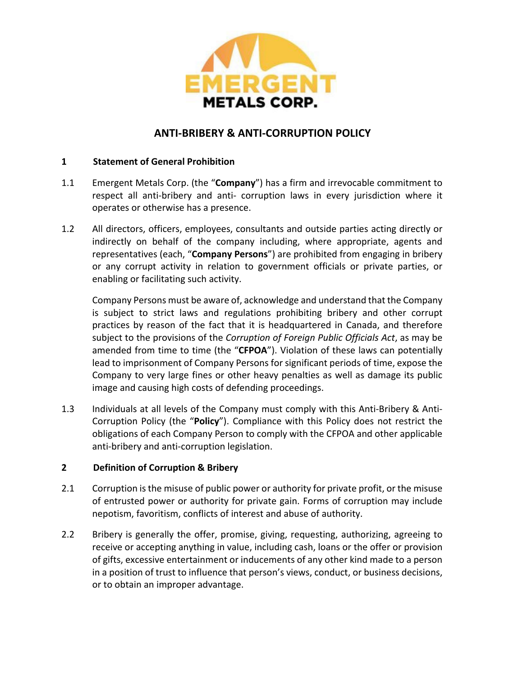

## **ANTI-BRIBERY & ANTI-CORRUPTION POLICY**

#### **1 Statement of General Prohibition**

- 1.1 Emergent Metals Corp. (the "**Company**") has a firm and irrevocable commitment to respect all anti-bribery and anti- corruption laws in every jurisdiction where it operates or otherwise has a presence.
- 1.2 All directors, officers, employees, consultants and outside parties acting directly or indirectly on behalf of the company including, where appropriate, agents and representatives (each, "**Company Persons**") are prohibited from engaging in bribery or any corrupt activity in relation to government officials or private parties, or enabling or facilitating such activity.

Company Persons must be aware of, acknowledge and understand that the Company is subject to strict laws and regulations prohibiting bribery and other corrupt practices by reason of the fact that it is headquartered in Canada, and therefore subject to the provisions of the *Corruption of Foreign Public Officials Act*, as may be amended from time to time (the "**CFPOA**"). Violation of these laws can potentially lead to imprisonment of Company Persons for significant periods of time, expose the Company to very large fines or other heavy penalties as well as damage its public image and causing high costs of defending proceedings.

1.3 Individuals at all levels of the Company must comply with this Anti-Bribery & Anti-Corruption Policy (the "**Policy**"). Compliance with this Policy does not restrict the obligations of each Company Person to comply with the CFPOA and other applicable anti-bribery and anti-corruption legislation.

#### **2 Definition of Corruption & Bribery**

- 2.1 Corruption is the misuse of public power or authority for private profit, or the misuse of entrusted power or authority for private gain. Forms of corruption may include nepotism, favoritism, conflicts of interest and abuse of authority.
- 2.2 Bribery is generally the offer, promise, giving, requesting, authorizing, agreeing to receive or accepting anything in value, including cash, loans or the offer or provision of gifts, excessive entertainment or inducements of any other kind made to a person in a position of trust to influence that person's views, conduct, or business decisions, or to obtain an improper advantage.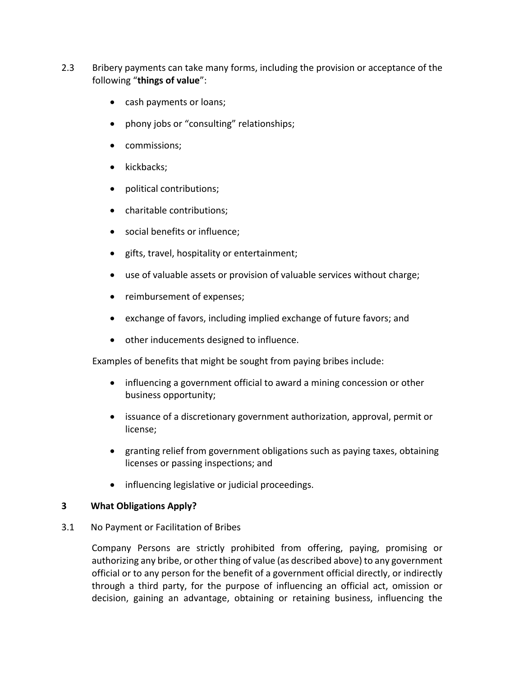- 2.3 Bribery payments can take many forms, including the provision or acceptance of the following "**things of value**":
	- cash payments or loans;
	- phony jobs or "consulting" relationships;
	- commissions;
	- kickbacks;
	- political contributions;
	- charitable contributions;
	- social benefits or influence;
	- gifts, travel, hospitality or entertainment;
	- use of valuable assets or provision of valuable services without charge;
	- reimbursement of expenses;
	- exchange of favors, including implied exchange of future favors; and
	- other inducements designed to influence.

Examples of benefits that might be sought from paying bribes include:

- influencing a government official to award a mining concession or other business opportunity;
- issuance of a discretionary government authorization, approval, permit or license;
- granting relief from government obligations such as paying taxes, obtaining licenses or passing inspections; and
- influencing legislative or judicial proceedings.

#### **3 What Obligations Apply?**

3.1 No Payment or Facilitation of Bribes

Company Persons are strictly prohibited from offering, paying, promising or authorizing any bribe, or other thing of value (as described above) to any government official or to any person for the benefit of a government official directly, or indirectly through a third party, for the purpose of influencing an official act, omission or decision, gaining an advantage, obtaining or retaining business, influencing the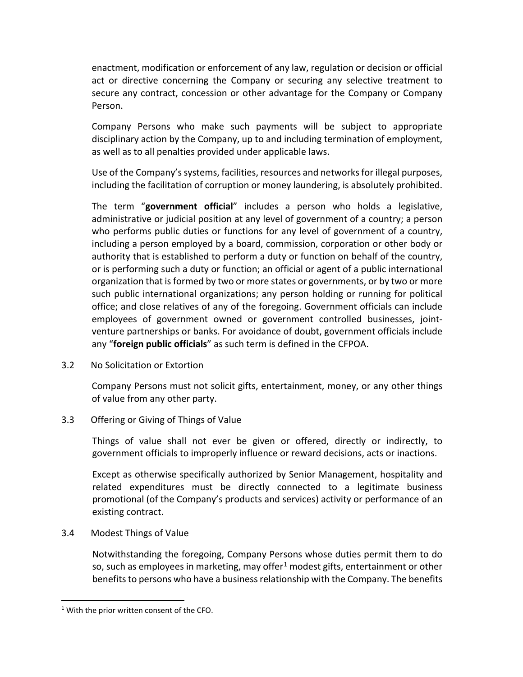enactment, modification or enforcement of any law, regulation or decision or official act or directive concerning the Company or securing any selective treatment to secure any contract, concession or other advantage for the Company or Company Person.

Company Persons who make such payments will be subject to appropriate disciplinary action by the Company, up to and including termination of employment, as well as to all penalties provided under applicable laws.

Use of the Company's systems, facilities, resources and networks for illegal purposes, including the facilitation of corruption or money laundering, is absolutely prohibited.

The term "**government official**" includes a person who holds a legislative, administrative or judicial position at any level of government of a country; a person who performs public duties or functions for any level of government of a country, including a person employed by a board, commission, corporation or other body or authority that is established to perform a duty or function on behalf of the country, or is performing such a duty or function; an official or agent of a public international organization that is formed by two or more states or governments, or by two or more such public international organizations; any person holding or running for political office; and close relatives of any of the foregoing. Government officials can include employees of government owned or government controlled businesses, jointventure partnerships or banks. For avoidance of doubt, government officials include any "**foreign public officials**" as such term is defined in the CFPOA.

3.2 No Solicitation or Extortion

Company Persons must not solicit gifts, entertainment, money, or any other things of value from any other party.

3.3 Offering or Giving of Things of Value

Things of value shall not ever be given or offered, directly or indirectly, to government officials to improperly influence or reward decisions, acts or inactions.

Except as otherwise specifically authorized by Senior Management, hospitality and related expenditures must be directly connected to a legitimate business promotional (of the Company's products and services) activity or performance of an existing contract.

3.4 Modest Things of Value

Notwithstanding the foregoing, Company Persons whose duties permit them to do so, such as employees in marketing, may offer<sup>[1](#page-2-0)</sup> modest gifts, entertainment or other benefits to persons who have a business relationship with the Company. The benefits

<span id="page-2-0"></span><sup>&</sup>lt;sup>1</sup> With the prior written consent of the CFO.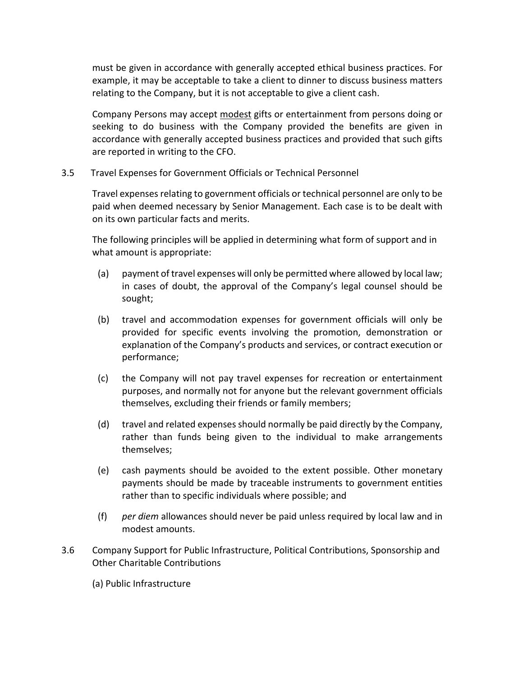must be given in accordance with generally accepted ethical business practices. For example, it may be acceptable to take a client to dinner to discuss business matters relating to the Company, but it is not acceptable to give a client cash.

Company Persons may accept modest gifts or entertainment from persons doing or seeking to do business with the Company provided the benefits are given in accordance with generally accepted business practices and provided that such gifts are reported in writing to the CFO.

3.5 Travel Expenses for Government Officials or Technical Personnel

Travel expenses relating to government officials or technical personnel are only to be paid when deemed necessary by Senior Management. Each case is to be dealt with on its own particular facts and merits.

The following principles will be applied in determining what form of support and in what amount is appropriate:

- (a) payment of travel expenses will only be permitted where allowed by local law; in cases of doubt, the approval of the Company's legal counsel should be sought;
- (b) travel and accommodation expenses for government officials will only be provided for specific events involving the promotion, demonstration or explanation of the Company's products and services, or contract execution or performance;
- (c) the Company will not pay travel expenses for recreation or entertainment purposes, and normally not for anyone but the relevant government officials themselves, excluding their friends or family members;
- (d) travel and related expenses should normally be paid directly by the Company, rather than funds being given to the individual to make arrangements themselves;
- (e) cash payments should be avoided to the extent possible. Other monetary payments should be made by traceable instruments to government entities rather than to specific individuals where possible; and
- (f) *per diem* allowances should never be paid unless required by local law and in modest amounts.
- 3.6 Company Support for Public Infrastructure, Political Contributions, Sponsorship and Other Charitable Contributions
	- (a) Public Infrastructure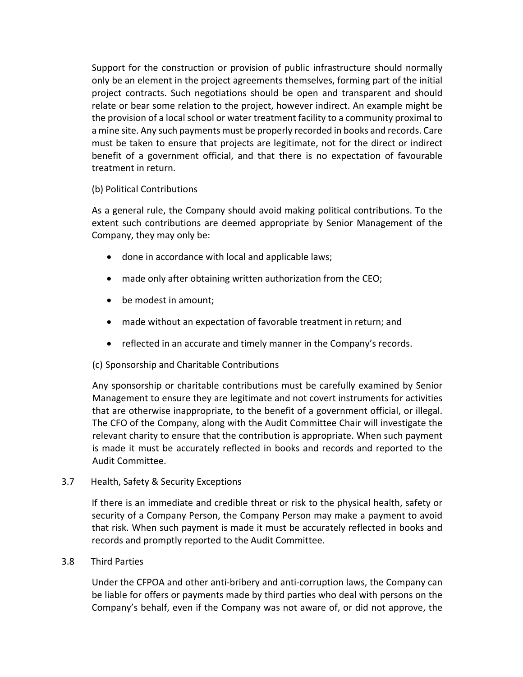Support for the construction or provision of public infrastructure should normally only be an element in the project agreements themselves, forming part of the initial project contracts. Such negotiations should be open and transparent and should relate or bear some relation to the project, however indirect. An example might be the provision of a local school or water treatment facility to a community proximal to a mine site. Any such payments must be properly recorded in books and records. Care must be taken to ensure that projects are legitimate, not for the direct or indirect benefit of a government official, and that there is no expectation of favourable treatment in return.

#### (b) Political Contributions

As a general rule, the Company should avoid making political contributions. To the extent such contributions are deemed appropriate by Senior Management of the Company, they may only be:

- done in accordance with local and applicable laws;
- made only after obtaining written authorization from the CEO;
- be modest in amount;
- made without an expectation of favorable treatment in return; and
- reflected in an accurate and timely manner in the Company's records.

## (c) Sponsorship and Charitable Contributions

Any sponsorship or charitable contributions must be carefully examined by Senior Management to ensure they are legitimate and not covert instruments for activities that are otherwise inappropriate, to the benefit of a government official, or illegal. The CFO of the Company, along with the Audit Committee Chair will investigate the relevant charity to ensure that the contribution is appropriate. When such payment is made it must be accurately reflected in books and records and reported to the Audit Committee.

3.7 Health, Safety & Security Exceptions

If there is an immediate and credible threat or risk to the physical health, safety or security of a Company Person, the Company Person may make a payment to avoid that risk. When such payment is made it must be accurately reflected in books and records and promptly reported to the Audit Committee.

## 3.8 Third Parties

Under the CFPOA and other anti-bribery and anti-corruption laws, the Company can be liable for offers or payments made by third parties who deal with persons on the Company's behalf, even if the Company was not aware of, or did not approve, the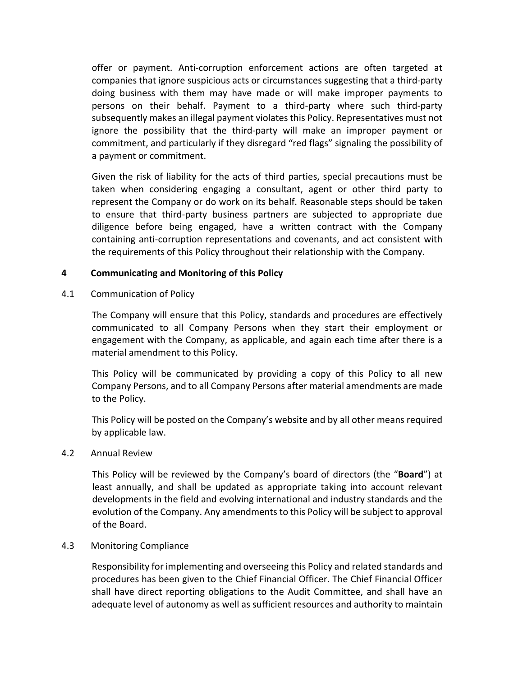offer or payment. Anti-corruption enforcement actions are often targeted at companies that ignore suspicious acts or circumstances suggesting that a third-party doing business with them may have made or will make improper payments to persons on their behalf. Payment to a third-party where such third-party subsequently makes an illegal payment violates this Policy. Representatives must not ignore the possibility that the third-party will make an improper payment or commitment, and particularly if they disregard "red flags" signaling the possibility of a payment or commitment.

Given the risk of liability for the acts of third parties, special precautions must be taken when considering engaging a consultant, agent or other third party to represent the Company or do work on its behalf. Reasonable steps should be taken to ensure that third-party business partners are subjected to appropriate due diligence before being engaged, have a written contract with the Company containing anti-corruption representations and covenants, and act consistent with the requirements of this Policy throughout their relationship with the Company.

#### **4 Communicating and Monitoring of this Policy**

4.1 Communication of Policy

The Company will ensure that this Policy, standards and procedures are effectively communicated to all Company Persons when they start their employment or engagement with the Company, as applicable, and again each time after there is a material amendment to this Policy.

This Policy will be communicated by providing a copy of this Policy to all new Company Persons, and to all Company Persons after material amendments are made to the Policy.

This Policy will be posted on the Company's website and by all other means required by applicable law.

#### 4.2 Annual Review

This Policy will be reviewed by the Company's board of directors (the "**Board**") at least annually, and shall be updated as appropriate taking into account relevant developments in the field and evolving international and industry standards and the evolution of the Company. Any amendments to this Policy will be subject to approval of the Board.

#### 4.3 Monitoring Compliance

Responsibility for implementing and overseeing this Policy and related standards and procedures has been given to the Chief Financial Officer. The Chief Financial Officer shall have direct reporting obligations to the Audit Committee, and shall have an adequate level of autonomy as well as sufficient resources and authority to maintain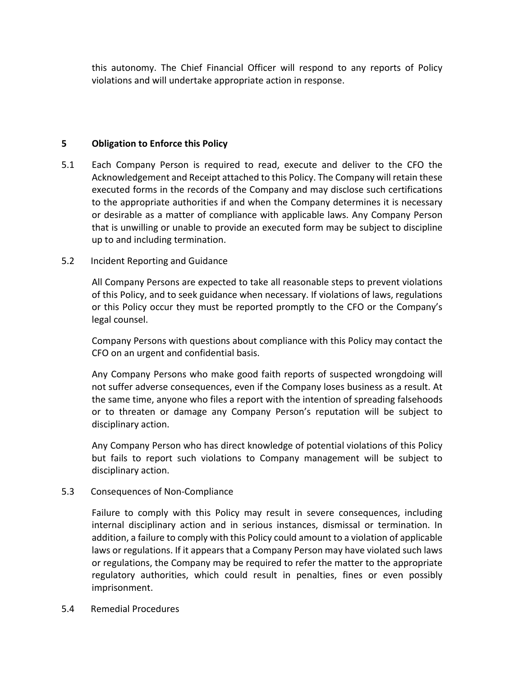this autonomy. The Chief Financial Officer will respond to any reports of Policy violations and will undertake appropriate action in response.

#### **5 Obligation to Enforce this Policy**

5.1 Each Company Person is required to read, execute and deliver to the CFO the Acknowledgement and Receipt attached to this Policy. The Company will retain these executed forms in the records of the Company and may disclose such certifications to the appropriate authorities if and when the Company determines it is necessary or desirable as a matter of compliance with applicable laws. Any Company Person that is unwilling or unable to provide an executed form may be subject to discipline up to and including termination.

#### 5.2 Incident Reporting and Guidance

All Company Persons are expected to take all reasonable steps to prevent violations of this Policy, and to seek guidance when necessary. If violations of laws, regulations or this Policy occur they must be reported promptly to the CFO or the Company's legal counsel.

Company Persons with questions about compliance with this Policy may contact the CFO on an urgent and confidential basis.

Any Company Persons who make good faith reports of suspected wrongdoing will not suffer adverse consequences, even if the Company loses business as a result. At the same time, anyone who files a report with the intention of spreading falsehoods or to threaten or damage any Company Person's reputation will be subject to disciplinary action.

Any Company Person who has direct knowledge of potential violations of this Policy but fails to report such violations to Company management will be subject to disciplinary action.

## 5.3 Consequences of Non-Compliance

Failure to comply with this Policy may result in severe consequences, including internal disciplinary action and in serious instances, dismissal or termination. In addition, a failure to comply with this Policy could amount to a violation of applicable laws or regulations. If it appears that a Company Person may have violated such laws or regulations, the Company may be required to refer the matter to the appropriate regulatory authorities, which could result in penalties, fines or even possibly imprisonment.

#### 5.4 Remedial Procedures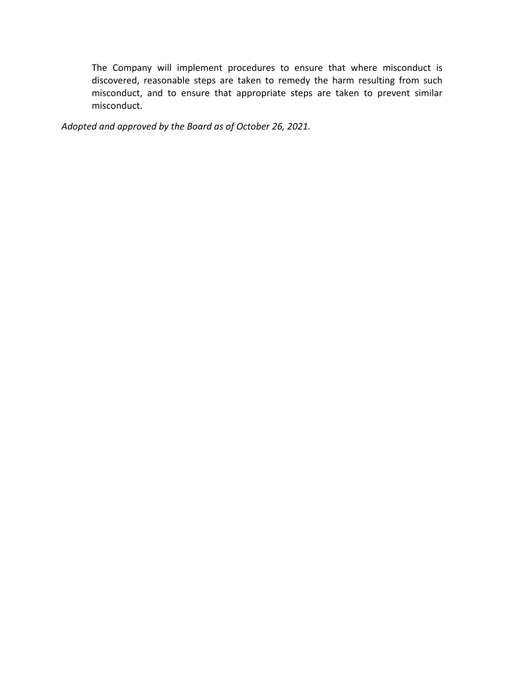The Company will implement procedures to ensure that where misconduct is discovered, reasonable steps are taken to remedy the harm resulting from such misconduct, and to ensure that appropriate steps are taken to prevent similar misconduct.

*Adopted and approved by the Board as of October 26, 2021.*